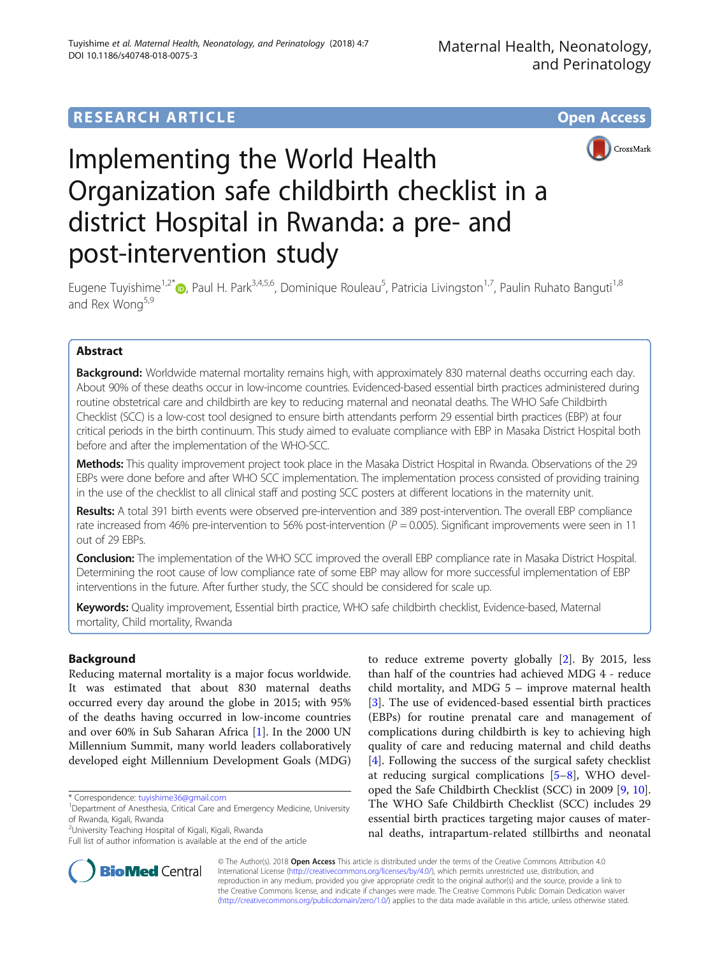## **RESEARCH ARTICLE Example 2014 12:30 The Contract of Contract ACCESS**





# Implementing the World Health Organization safe childbirth checklist in a district Hospital in Rwanda: a pre- and post-intervention study

Eugene Tuyishime<sup>1,2[\\*](http://orcid.org/0000-0001-9178-096X)</sup>®, Paul H. Park<sup>3,4,5,6</sup>, Dominique Rouleau<sup>5</sup>, Patricia Livingston<sup>1,7</sup>, Paulin Ruhato Banguti<sup>1,8</sup> and Rex Wong<sup>5,9</sup>

## Abstract

Background: Worldwide maternal mortality remains high, with approximately 830 maternal deaths occurring each day. About 90% of these deaths occur in low-income countries. Evidenced-based essential birth practices administered during routine obstetrical care and childbirth are key to reducing maternal and neonatal deaths. The WHO Safe Childbirth Checklist (SCC) is a low-cost tool designed to ensure birth attendants perform 29 essential birth practices (EBP) at four critical periods in the birth continuum. This study aimed to evaluate compliance with EBP in Masaka District Hospital both before and after the implementation of the WHO-SCC.

Methods: This quality improvement project took place in the Masaka District Hospital in Rwanda. Observations of the 29 EBPs were done before and after WHO SCC implementation. The implementation process consisted of providing training in the use of the checklist to all clinical staff and posting SCC posters at different locations in the maternity unit.

Results: A total 391 birth events were observed pre-intervention and 389 post-intervention. The overall EBP compliance rate increased from 46% pre-intervention to 56% post-intervention ( $P = 0.005$ ). Significant improvements were seen in 11 out of 29 EBPs.

Conclusion: The implementation of the WHO SCC improved the overall EBP compliance rate in Masaka District Hospital. Determining the root cause of low compliance rate of some EBP may allow for more successful implementation of EBP interventions in the future. After further study, the SCC should be considered for scale up.

Keywords: Quality improvement, Essential birth practice, WHO safe childbirth checklist, Evidence-based, Maternal mortality, Child mortality, Rwanda

## Background

Reducing maternal mortality is a major focus worldwide. It was estimated that about 830 maternal deaths occurred every day around the globe in 2015; with 95% of the deaths having occurred in low-income countries and over 60% in Sub Saharan Africa [[1\]](#page-5-0). In the 2000 UN Millennium Summit, many world leaders collaboratively developed eight Millennium Development Goals (MDG)

to reduce extreme poverty globally [[2](#page-5-0)]. By 2015, less than half of the countries had achieved MDG 4 - reduce child mortality, and MDG 5 – improve maternal health [[3\]](#page-5-0). The use of evidenced-based essential birth practices (EBPs) for routine prenatal care and management of complications during childbirth is key to achieving high quality of care and reducing maternal and child deaths [[4\]](#page-5-0). Following the success of the surgical safety checklist at reducing surgical complications [\[5](#page-5-0)–[8\]](#page-5-0), WHO developed the Safe Childbirth Checklist (SCC) in 2009 [\[9](#page-5-0), [10](#page-5-0)]. The WHO Safe Childbirth Checklist (SCC) includes 29 essential birth practices targeting major causes of maternal deaths, intrapartum-related stillbirths and neonatal



© The Author(s). 2018 Open Access This article is distributed under the terms of the Creative Commons Attribution 4.0 International License [\(http://creativecommons.org/licenses/by/4.0/](http://creativecommons.org/licenses/by/4.0/)), which permits unrestricted use, distribution, and reproduction in any medium, provided you give appropriate credit to the original author(s) and the source, provide a link to the Creative Commons license, and indicate if changes were made. The Creative Commons Public Domain Dedication waiver [\(http://creativecommons.org/publicdomain/zero/1.0/](http://creativecommons.org/publicdomain/zero/1.0/)) applies to the data made available in this article, unless otherwise stated.

<sup>\*</sup> Correspondence: [tuyishime36@gmail.com](mailto:tuyishime36@gmail.com) <sup>1</sup>

<sup>&</sup>lt;sup>1</sup>Department of Anesthesia, Critical Care and Emergency Medicine, University of Rwanda, Kigali, Rwanda

<sup>2</sup> University Teaching Hospital of Kigali, Kigali, Rwanda

Full list of author information is available at the end of the article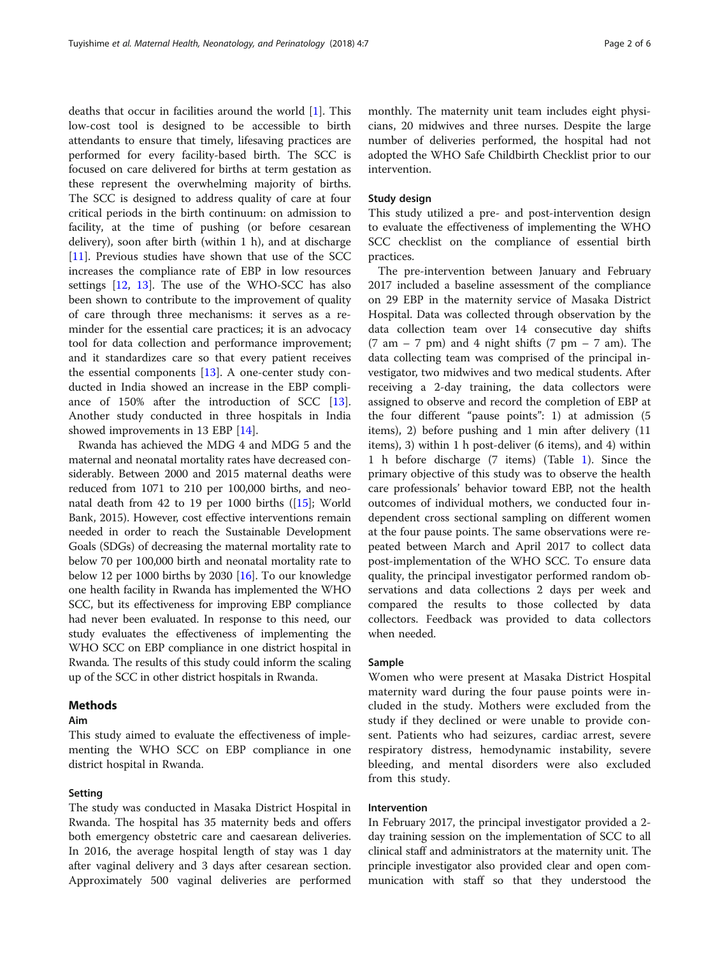deaths that occur in facilities around the world [[1\]](#page-5-0). This low-cost tool is designed to be accessible to birth attendants to ensure that timely, lifesaving practices are performed for every facility-based birth. The SCC is focused on care delivered for births at term gestation as these represent the overwhelming majority of births. The SCC is designed to address quality of care at four critical periods in the birth continuum: on admission to facility, at the time of pushing (or before cesarean delivery), soon after birth (within 1 h), and at discharge [[11\]](#page-5-0). Previous studies have shown that use of the SCC increases the compliance rate of EBP in low resources settings  $[12, 13]$  $[12, 13]$  $[12, 13]$  $[12, 13]$ . The use of the WHO-SCC has also been shown to contribute to the improvement of quality of care through three mechanisms: it serves as a reminder for the essential care practices; it is an advocacy tool for data collection and performance improvement; and it standardizes care so that every patient receives the essential components [[13\]](#page-5-0). A one-center study conducted in India showed an increase in the EBP compliance of 150% after the introduction of SCC [\[13](#page-5-0)]. Another study conducted in three hospitals in India showed improvements in 13 EBP [[14](#page-5-0)].

Rwanda has achieved the MDG 4 and MDG 5 and the maternal and neonatal mortality rates have decreased considerably. Between 2000 and 2015 maternal deaths were reduced from 1071 to 210 per 100,000 births, and neonatal death from 42 to 19 per 1000 births ([\[15](#page-5-0)]; World Bank, 2015). However, cost effective interventions remain needed in order to reach the Sustainable Development Goals (SDGs) of decreasing the maternal mortality rate to below 70 per 100,000 birth and neonatal mortality rate to below 12 per 1000 births by 2030  $[16]$  $[16]$ . To our knowledge one health facility in Rwanda has implemented the WHO SCC, but its effectiveness for improving EBP compliance had never been evaluated. In response to this need, our study evaluates the effectiveness of implementing the WHO SCC on EBP compliance in one district hospital in Rwanda. The results of this study could inform the scaling up of the SCC in other district hospitals in Rwanda.

## Methods

## Aim

This study aimed to evaluate the effectiveness of implementing the WHO SCC on EBP compliance in one district hospital in Rwanda.

## Setting

The study was conducted in Masaka District Hospital in Rwanda. The hospital has 35 maternity beds and offers both emergency obstetric care and caesarean deliveries. In 2016, the average hospital length of stay was 1 day after vaginal delivery and 3 days after cesarean section. Approximately 500 vaginal deliveries are performed

monthly. The maternity unit team includes eight physicians, 20 midwives and three nurses. Despite the large number of deliveries performed, the hospital had not adopted the WHO Safe Childbirth Checklist prior to our intervention.

## Study design

This study utilized a pre- and post-intervention design to evaluate the effectiveness of implementing the WHO SCC checklist on the compliance of essential birth practices.

The pre-intervention between January and February 2017 included a baseline assessment of the compliance on 29 EBP in the maternity service of Masaka District Hospital. Data was collected through observation by the data collection team over 14 consecutive day shifts  $(7 \text{ am } -7 \text{ pm})$  and 4 night shifts  $(7 \text{ pm } -7 \text{ am})$ . The data collecting team was comprised of the principal investigator, two midwives and two medical students. After receiving a 2-day training, the data collectors were assigned to observe and record the completion of EBP at the four different "pause points": 1) at admission (5 items), 2) before pushing and 1 min after delivery (11 items), 3) within 1 h post-deliver (6 items), and 4) within 1 h before discharge (7 items) (Table [1](#page-2-0)). Since the primary objective of this study was to observe the health care professionals' behavior toward EBP, not the health outcomes of individual mothers, we conducted four independent cross sectional sampling on different women at the four pause points. The same observations were repeated between March and April 2017 to collect data post-implementation of the WHO SCC. To ensure data quality, the principal investigator performed random observations and data collections 2 days per week and compared the results to those collected by data collectors. Feedback was provided to data collectors when needed.

## Sample

Women who were present at Masaka District Hospital maternity ward during the four pause points were included in the study. Mothers were excluded from the study if they declined or were unable to provide consent. Patients who had seizures, cardiac arrest, severe respiratory distress, hemodynamic instability, severe bleeding, and mental disorders were also excluded from this study.

#### Intervention

In February 2017, the principal investigator provided a 2 day training session on the implementation of SCC to all clinical staff and administrators at the maternity unit. The principle investigator also provided clear and open communication with staff so that they understood the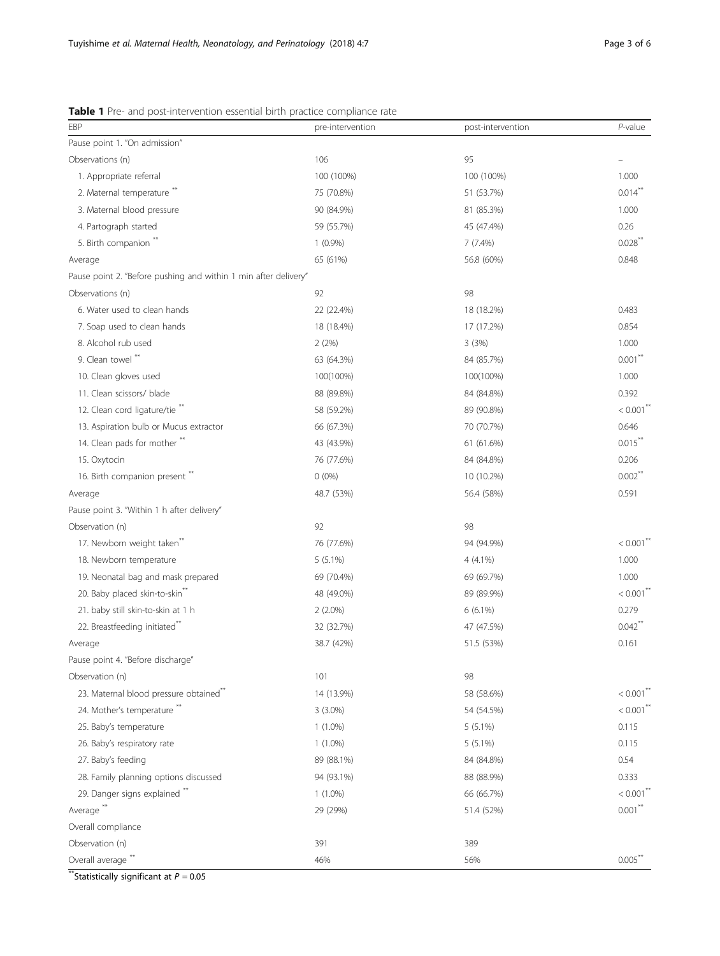| EBP                                                             | pre-intervention | post-intervention | $P$ -value              |
|-----------------------------------------------------------------|------------------|-------------------|-------------------------|
| Pause point 1. "On admission"                                   |                  |                   |                         |
| Observations (n)                                                | 106              | 95                |                         |
| 1. Appropriate referral                                         | 100 (100%)       | 100 (100%)        | 1.000                   |
| 2. Maternal temperature **                                      | 75 (70.8%)       | 51 (53.7%)        | $0.014$ **              |
| 3. Maternal blood pressure                                      | 90 (84.9%)       | 81 (85.3%)        | 1.000                   |
| 4. Partograph started                                           | 59 (55.7%)       | 45 (47.4%)        | 0.26                    |
| 5. Birth companion **                                           | $1(0.9\%)$       | 7(7.4%)           | 0.028                   |
| Average                                                         | 65 (61%)         | 56.8 (60%)        | 0.848                   |
| Pause point 2. "Before pushing and within 1 min after delivery" |                  |                   |                         |
| Observations (n)                                                | 92               | 98                |                         |
| 6. Water used to clean hands                                    | 22 (22.4%)       | 18 (18.2%)        | 0.483                   |
| 7. Soap used to clean hands                                     | 18 (18.4%)       | 17 (17.2%)        | 0.854                   |
| 8. Alcohol rub used                                             | 2(2%)            | 3(3%)             | 1.000                   |
| 9. Clean towel **                                               | 63 (64.3%)       | 84 (85.7%)        | $0.001$ <sup>**</sup>   |
| 10. Clean gloves used                                           | 100(100%)        | 100(100%)         | 1.000                   |
| 11. Clean scissors/ blade                                       | 88 (89.8%)       | 84 (84.8%)        | 0.392                   |
| 12. Clean cord ligature/tie **                                  | 58 (59.2%)       | 89 (90.8%)        | $< 0.001$ <sup>**</sup> |
| 13. Aspiration bulb or Mucus extractor                          | 66 (67.3%)       | 70 (70.7%)        | 0.646                   |
| 14. Clean pads for mother **                                    | 43 (43.9%)       | 61 (61.6%)        | $0.015$ **              |
| 15. Oxytocin                                                    | 76 (77.6%)       | 84 (84.8%)        | 0.206                   |
| 16. Birth companion present"                                    | $0(0\%)$         | 10 (10.2%)        | $0.002$ <sup>**</sup>   |
| Average                                                         | 48.7 (53%)       | 56.4 (58%)        | 0.591                   |
| Pause point 3. "Within 1 h after delivery"                      |                  |                   |                         |
| Observation (n)                                                 | 92               | 98                |                         |
| 17. Newborn weight taken**                                      | 76 (77.6%)       | 94 (94.9%)        | $< 0.001$ **            |
| 18. Newborn temperature                                         | $5(5.1\%)$       | $4(4.1\%)$        | 1.000                   |
| 19. Neonatal bag and mask prepared                              | 69 (70.4%)       | 69 (69.7%)        | 1.000                   |
| 20. Baby placed skin-to-skin**                                  | 48 (49.0%)       | 89 (89.9%)        | $< 0.001$ **            |
| 21. baby still skin-to-skin at 1 h                              | $2(2.0\%)$       | $6(6.1\%)$        | 0.279                   |
| 22. Breastfeeding initiated**                                   | 32 (32.7%)       | 47 (47.5%)        | $0.042$ <sup>**</sup>   |
| Average                                                         | 38.7 (42%)       | 51.5 (53%)        | 0.161                   |
| Pause point 4. "Before discharge"                               |                  |                   |                         |
| Observation (n)                                                 | 101              | 98                |                         |
| 23. Maternal blood pressure obtained**                          | 14 (13.9%)       | 58 (58.6%)        | $< 0.001$ **            |
| 24. Mother's temperature **                                     | $3(3.0\%)$       | 54 (54.5%)        | $< 0.001$ **            |
| 25. Baby's temperature                                          | $1(1.0\%)$       | $5(5.1\%)$        | 0.115                   |
| 26. Baby's respiratory rate                                     | $1(1.0\%)$       | $5(5.1\%)$        | 0.115                   |
| 27. Baby's feeding                                              | 89 (88.1%)       | 84 (84.8%)        | 0.54                    |
| 28. Family planning options discussed                           | 94 (93.1%)       | 88 (88.9%)        | 0.333                   |
| 29. Danger signs explained **                                   | $1(1.0\%)$       | 66 (66.7%)        | $< 0.001$ **            |
| Average <sup>**</sup>                                           | 29 (29%)         | 51.4 (52%)        | $0.001$ **              |
| Overall compliance                                              |                  |                   |                         |
| Observation (n)                                                 | 391              | 389               |                         |
| Overall average **                                              | 46%              | 56%               | 0.005                   |

<span id="page-2-0"></span>Table 1 Pre- and post-intervention essential birth practice compliance rate

\*\*Statistically significant at  $P = 0.05$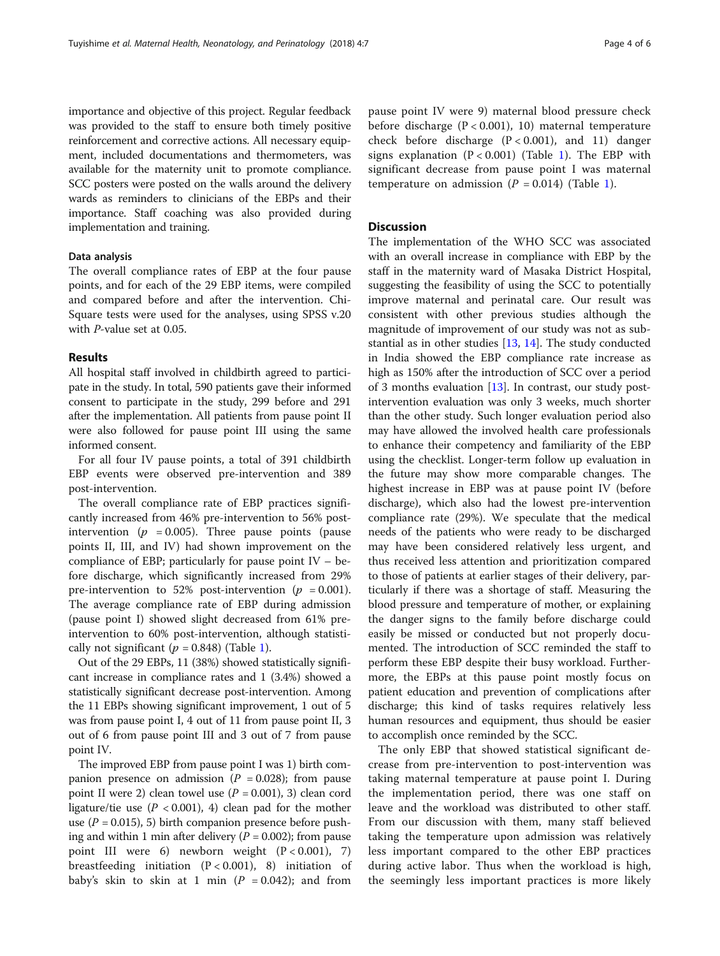importance and objective of this project. Regular feedback was provided to the staff to ensure both timely positive reinforcement and corrective actions. All necessary equipment, included documentations and thermometers, was available for the maternity unit to promote compliance. SCC posters were posted on the walls around the delivery wards as reminders to clinicians of the EBPs and their importance. Staff coaching was also provided during implementation and training.

## Data analysis

The overall compliance rates of EBP at the four pause points, and for each of the 29 EBP items, were compiled and compared before and after the intervention. Chi-Square tests were used for the analyses, using SPSS v.20 with P-value set at 0.05.

## Results

All hospital staff involved in childbirth agreed to participate in the study. In total, 590 patients gave their informed consent to participate in the study, 299 before and 291 after the implementation. All patients from pause point II were also followed for pause point III using the same informed consent.

For all four IV pause points, a total of 391 childbirth EBP events were observed pre-intervention and 389 post-intervention.

The overall compliance rate of EBP practices significantly increased from 46% pre-intervention to 56% postintervention ( $p = 0.005$ ). Three pause points (pause points II, III, and IV) had shown improvement on the compliance of EBP; particularly for pause point  $IV - be$ fore discharge, which significantly increased from 29% pre-intervention to 52% post-intervention ( $p = 0.001$ ). The average compliance rate of EBP during admission (pause point I) showed slight decreased from 61% preintervention to 60% post-intervention, although statistically not significant ( $p = 0.848$ ) (Table [1](#page-2-0)).

Out of the 29 EBPs, 11 (38%) showed statistically significant increase in compliance rates and 1 (3.4%) showed a statistically significant decrease post-intervention. Among the 11 EBPs showing significant improvement, 1 out of 5 was from pause point I, 4 out of 11 from pause point II, 3 out of 6 from pause point III and 3 out of 7 from pause point IV.

The improved EBP from pause point I was 1) birth companion presence on admission  $(P = 0.028)$ ; from pause point II were 2) clean towel use  $(P = 0.001)$ , 3) clean cord ligature/tie use  $(P < 0.001)$ , 4) clean pad for the mother use ( $P = 0.015$ ), 5) birth companion presence before pushing and within 1 min after delivery ( $P = 0.002$ ); from pause point III were 6) newborn weight (P < 0.001), 7) breastfeeding initiation  $(P < 0.001)$ , 8) initiation of baby's skin to skin at 1 min  $(P = 0.042)$ ; and from

pause point IV were 9) maternal blood pressure check before discharge  $(P < 0.001)$ , 10) maternal temperature check before discharge  $(P < 0.001)$ , and 11) danger signs explanation  $(P < 0.001)$  $(P < 0.001)$  $(P < 0.001)$  (Table 1). The EBP with significant decrease from pause point I was maternal temperature on admission  $(P = 0.014)$  (Table [1\)](#page-2-0).

## Discussion

The implementation of the WHO SCC was associated with an overall increase in compliance with EBP by the staff in the maternity ward of Masaka District Hospital, suggesting the feasibility of using the SCC to potentially improve maternal and perinatal care. Our result was consistent with other previous studies although the magnitude of improvement of our study was not as substantial as in other studies [[13](#page-5-0), [14](#page-5-0)]. The study conducted in India showed the EBP compliance rate increase as high as 150% after the introduction of SCC over a period of 3 months evaluation [[13](#page-5-0)]. In contrast, our study postintervention evaluation was only 3 weeks, much shorter than the other study. Such longer evaluation period also may have allowed the involved health care professionals to enhance their competency and familiarity of the EBP using the checklist. Longer-term follow up evaluation in the future may show more comparable changes. The highest increase in EBP was at pause point IV (before discharge), which also had the lowest pre-intervention compliance rate (29%). We speculate that the medical needs of the patients who were ready to be discharged may have been considered relatively less urgent, and thus received less attention and prioritization compared to those of patients at earlier stages of their delivery, particularly if there was a shortage of staff. Measuring the blood pressure and temperature of mother, or explaining the danger signs to the family before discharge could easily be missed or conducted but not properly documented. The introduction of SCC reminded the staff to perform these EBP despite their busy workload. Furthermore, the EBPs at this pause point mostly focus on patient education and prevention of complications after discharge; this kind of tasks requires relatively less human resources and equipment, thus should be easier to accomplish once reminded by the SCC.

The only EBP that showed statistical significant decrease from pre-intervention to post-intervention was taking maternal temperature at pause point I. During the implementation period, there was one staff on leave and the workload was distributed to other staff. From our discussion with them, many staff believed taking the temperature upon admission was relatively less important compared to the other EBP practices during active labor. Thus when the workload is high, the seemingly less important practices is more likely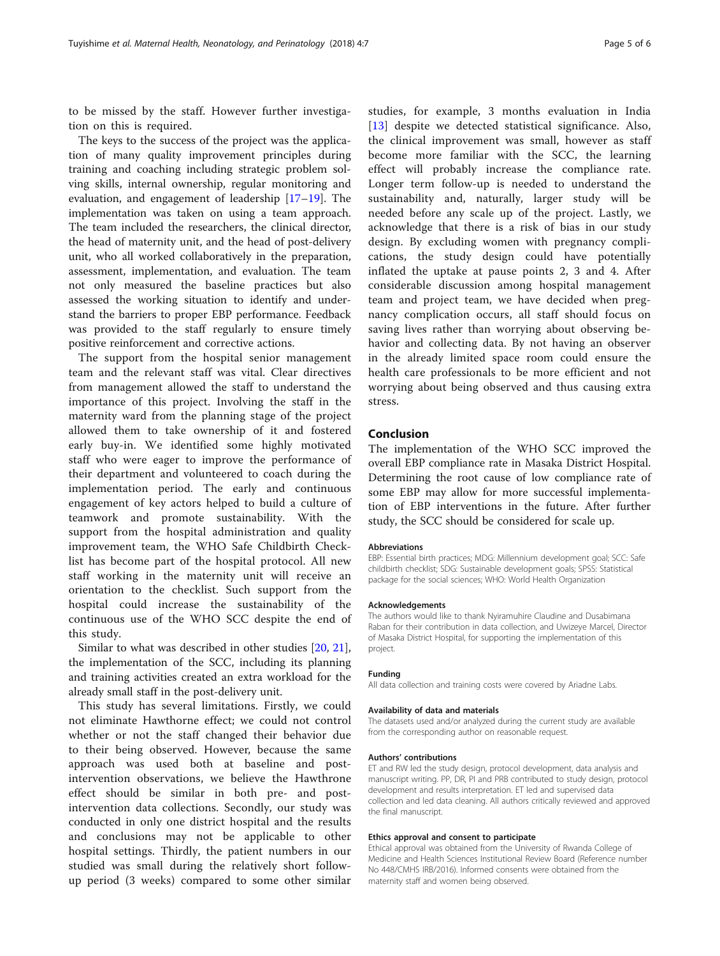to be missed by the staff. However further investigation on this is required.

The keys to the success of the project was the application of many quality improvement principles during training and coaching including strategic problem solving skills, internal ownership, regular monitoring and evaluation, and engagement of leadership [\[17](#page-5-0)–[19\]](#page-5-0). The implementation was taken on using a team approach. The team included the researchers, the clinical director, the head of maternity unit, and the head of post-delivery unit, who all worked collaboratively in the preparation, assessment, implementation, and evaluation. The team not only measured the baseline practices but also assessed the working situation to identify and understand the barriers to proper EBP performance. Feedback was provided to the staff regularly to ensure timely positive reinforcement and corrective actions.

The support from the hospital senior management team and the relevant staff was vital. Clear directives from management allowed the staff to understand the importance of this project. Involving the staff in the maternity ward from the planning stage of the project allowed them to take ownership of it and fostered early buy-in. We identified some highly motivated staff who were eager to improve the performance of their department and volunteered to coach during the implementation period. The early and continuous engagement of key actors helped to build a culture of teamwork and promote sustainability. With the support from the hospital administration and quality improvement team, the WHO Safe Childbirth Checklist has become part of the hospital protocol. All new staff working in the maternity unit will receive an orientation to the checklist. Such support from the hospital could increase the sustainability of the continuous use of the WHO SCC despite the end of this study.

Similar to what was described in other studies [\[20](#page-5-0), [21](#page-5-0)], the implementation of the SCC, including its planning and training activities created an extra workload for the already small staff in the post-delivery unit.

This study has several limitations. Firstly, we could not eliminate Hawthorne effect; we could not control whether or not the staff changed their behavior due to their being observed. However, because the same approach was used both at baseline and postintervention observations, we believe the Hawthrone effect should be similar in both pre- and postintervention data collections. Secondly, our study was conducted in only one district hospital and the results and conclusions may not be applicable to other hospital settings. Thirdly, the patient numbers in our studied was small during the relatively short followup period (3 weeks) compared to some other similar

studies, for example, 3 months evaluation in India [[13\]](#page-5-0) despite we detected statistical significance. Also, the clinical improvement was small, however as staff become more familiar with the SCC, the learning effect will probably increase the compliance rate. Longer term follow-up is needed to understand the sustainability and, naturally, larger study will be needed before any scale up of the project. Lastly, we acknowledge that there is a risk of bias in our study design. By excluding women with pregnancy complications, the study design could have potentially inflated the uptake at pause points 2, 3 and 4. After considerable discussion among hospital management team and project team, we have decided when pregnancy complication occurs, all staff should focus on saving lives rather than worrying about observing behavior and collecting data. By not having an observer in the already limited space room could ensure the health care professionals to be more efficient and not worrying about being observed and thus causing extra stress.

## Conclusion

The implementation of the WHO SCC improved the overall EBP compliance rate in Masaka District Hospital. Determining the root cause of low compliance rate of some EBP may allow for more successful implementation of EBP interventions in the future. After further study, the SCC should be considered for scale up.

#### Abbreviations

EBP: Essential birth practices; MDG: Millennium development goal; SCC: Safe childbirth checklist; SDG: Sustainable development goals; SPSS: Statistical package for the social sciences; WHO: World Health Organization

#### Acknowledgements

The authors would like to thank Nyiramuhire Claudine and Dusabimana Raban for their contribution in data collection, and Uwizeye Marcel, Director of Masaka District Hospital, for supporting the implementation of this project.

#### Funding

All data collection and training costs were covered by Ariadne Labs.

#### Availability of data and materials

The datasets used and/or analyzed during the current study are available from the corresponding author on reasonable request.

#### Authors' contributions

ET and RW led the study design, protocol development, data analysis and manuscript writing. PP, DR, PI and PRB contributed to study design, protocol development and results interpretation. ET led and supervised data collection and led data cleaning. All authors critically reviewed and approved the final manuscript.

#### Ethics approval and consent to participate

Ethical approval was obtained from the University of Rwanda College of Medicine and Health Sciences Institutional Review Board (Reference number No 448/CMHS IRB/2016). Informed consents were obtained from the maternity staff and women being observed.